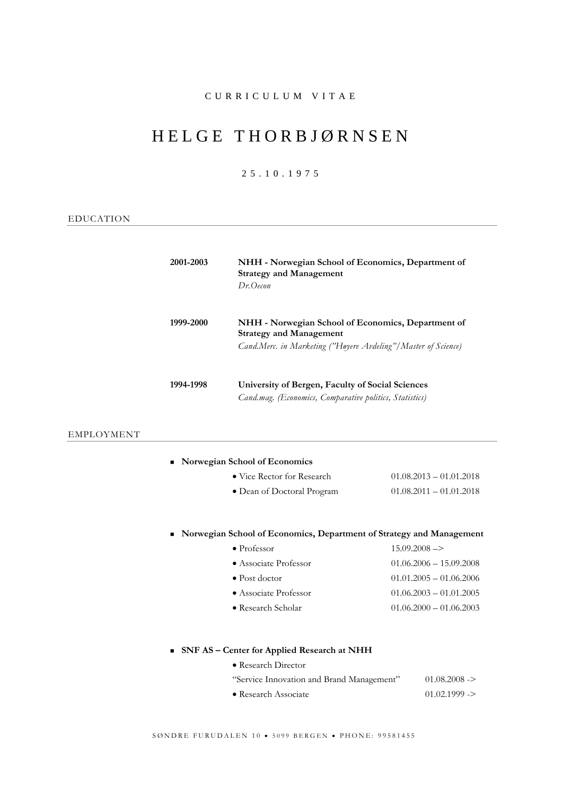# C U R R I C U L U M V I T A E

# HELGE THORBJØRNSEN

# 2 5 . 1 0 . 1 9 7 5

## EDUCATION

| 2001-2003 | NHH - Norwegian School of Economics, Department of<br><b>Strategy and Management</b><br>Dr. Oecon                                                     |
|-----------|-------------------------------------------------------------------------------------------------------------------------------------------------------|
| 1999-2000 | NHH - Norwegian School of Economics, Department of<br><b>Strategy and Management</b><br>Cand.Merc. in Marketing ("Høyere Avdeling"/Master of Science) |
| 1994-1998 | University of Bergen, Faculty of Social Sciences<br>Cand.mag. (Economics, Comparative politics, Statistics)                                           |

#### EMPLOYMENT

| • Norwegian School of Economics |                           |  |  |  |
|---------------------------------|---------------------------|--|--|--|
| • Vice Rector for Research      | $01.08.2013 - 01.01.2018$ |  |  |  |
| • Dean of Doctoral Program      | $01.08.2011 - 01.01.2018$ |  |  |  |

■ Norwegian School of Economics, Department of Strategy and Management

| $\bullet$ Professor        | $15.09.2008 \rightarrow$  |
|----------------------------|---------------------------|
| • Associate Professor      | $01.06.2006 - 15.09.2008$ |
| $\bullet$ Post doctor      | $01.01.2005 - 01.06.2006$ |
| • Associate Professor      | $01.06.2003 - 01.01.2005$ |
| $\bullet$ Research Scholar | $01.06.2000 - 01.06.2003$ |
|                            |                           |

■ **SNF AS – Center for Applied Research at NHH** 

| • Research Director                       |                 |
|-------------------------------------------|-----------------|
| "Service Innovation and Brand Management" | $01.08.2008$ -> |
| • Research Associate                      | $01.02.1999$ -> |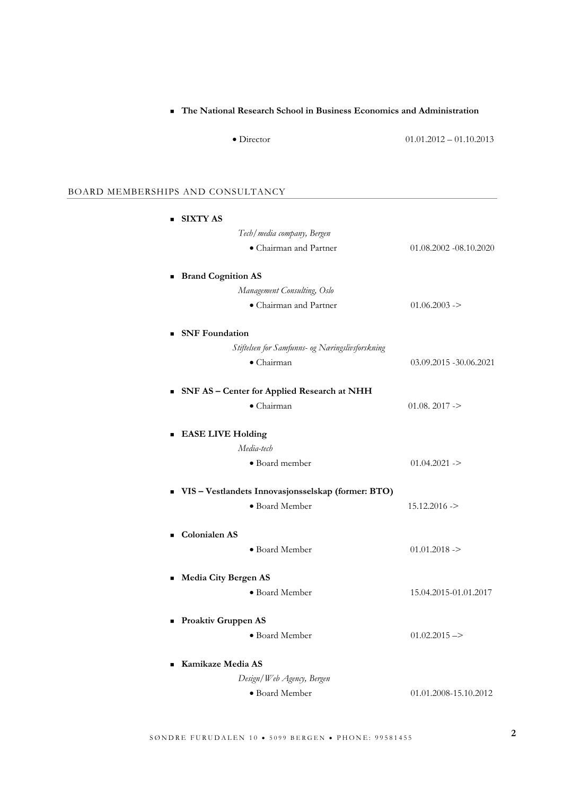# ■ The National Research School in Business Economics and Administration

| $01.01.2012 - 01.10.2013$ |
|---------------------------|
|                           |

<u> 1980 - Johann Barn, mars ann an t-Amhain Aonaich an t-Aonaich an t-Aonaich an t-Aonaich an t-Aonaich an t-Aon</u>

# BOARD MEMBERSHIPS AND CONSULTANCY

| <b>SIXTY AS</b>                                               |                           |
|---------------------------------------------------------------|---------------------------|
| Tech/media company, Bergen                                    |                           |
| • Chairman and Partner                                        | $01.08.2002 - 08.10.2020$ |
| <b>Brand Cognition AS</b>                                     |                           |
| Management Consulting, Oslo                                   |                           |
| • Chairman and Partner                                        | $01.06.2003$ ->           |
| <b>SNF</b> Foundation                                         |                           |
| Stiftelsen for Samfunns- og Næringslivsforskning              |                           |
| $\bullet$ Chairman                                            | 03.09.2015 -30.06.2021    |
| SNF AS - Center for Applied Research at NHH<br>$\blacksquare$ |                           |
| $\bullet$ Chairman                                            | $01.08$ , $2017$ ->       |
| <b>EASE LIVE Holding</b><br>$\blacksquare$                    |                           |
| Media-tech                                                    |                           |
| • Board member                                                | $01.04.2021 -$            |
| VIS - Vestlandets Innovasjonsselskap (former: BTO)            |                           |
| • Board Member                                                | $15.12.2016$ ->           |
| <b>Colonialen AS</b><br>$\blacksquare$                        |                           |
| • Board Member                                                | $01.01.2018$ ->           |
| Media City Bergen AS<br>٠                                     |                           |
| • Board Member                                                | 15.04.2015-01.01.2017     |
| <b>Proaktiv Gruppen AS</b><br>٠                               |                           |
| · Board Member                                                | $01.02.2015 =$            |
| Kamikaze Media AS<br>$\blacksquare$                           |                           |
| Design/Web Agency, Bergen                                     |                           |
| • Board Member                                                | 01.01.2008-15.10.2012     |
|                                                               |                           |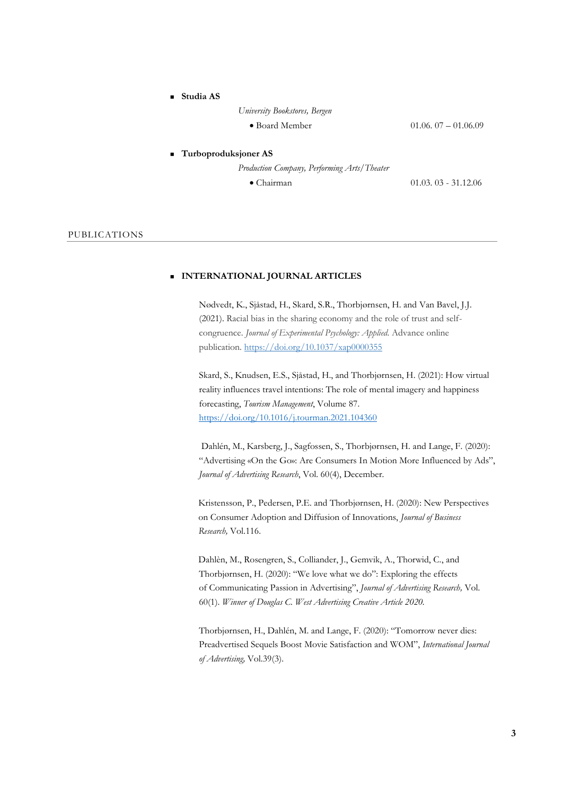# ■ **Studia AS**

*University Bookstores, Bergen*

• Board Member 01.06. 07 – 01.06.09

## ■ **Turboproduksjoner AS**

*Production Company, Performing Arts/Theater*

• Chairman 01.03. 03 - 31.12.06

#### PUBLICATIONS

## <sup>◼</sup> **INTERNATIONAL JOURNAL ARTICLES**

 Nødvedt, K., Sjåstad, H., Skard, S.R., Thorbjørnsen, H. and Van Bavel, J.J. (2021). Racial bias in the sharing economy and the role of trust and self congruence. *Journal of Experimental Psychology: Applied.* Advance online publication. [https://doi.org/10.1037/xap0000355](https://doi.apa.org/doi/10.1037/xap0000355)

 Skard, S., Knudsen, E.S., Sjåstad, H., and Thorbjørnsen, H. (2021): How virtual reality influences travel intentions: The role of mental imagery and happiness forecasting, *Tourism Management*, Volume 87. <https://doi.org/10.1016/j.tourman.2021.104360>

 Dahlén, M., Karsberg, J., Sagfossen, S., Thorbjørnsen, H. and Lange, F. (2020): "Advertising «On the Go»: Are Consumers In Motion More Influenced by Ads", *Journal of Advertising Research*, Vol. 60(4), December.

Kristensson, P., Pedersen, P.E. and Thorbjørnsen, H. (2020): New Perspectives on Consumer Adoption and Diffusion of Innovations, *Journal of Business Research,* Vol.116.

Dahlèn, M., Rosengren, S., Colliander, J., Gemvik, A., Thorwid, C., and Thorbjørnsen, H. (2020): "We love what we do": Exploring the effects of Communicating Passion in Advertising", *Journal of Advertising Research,* Vol. 60(1). *Winner of Douglas C. West Advertising Creative Article 2020.* 

 Thorbjørnsen, H., Dahlén, M. and Lange, F. (2020): "Tomorrow never dies: Preadvertised Sequels Boost Movie Satisfaction and WOM", *International Journal of Advertising,* Vol.39(3).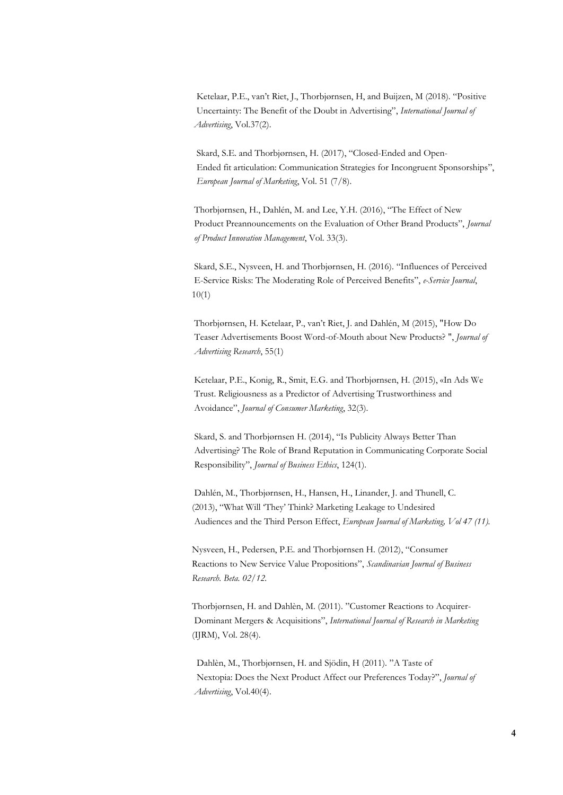Ketelaar, P.E., van't Riet, J., Thorbjørnsen, H, and Buijzen, M (2018). "Positive Uncertainty: The Benefit of the Doubt in Advertising", *International Journal of Advertising*, Vol.37(2).

 Skard, S.E. and Thorbjørnsen, H. (2017), "Closed-Ended and Open- Ended fit articulation: Communication Strategies for Incongruent Sponsorships", *European Journal of Marketing*, Vol. 51 (7/8).

 Thorbjørnsen, H., Dahlén, M. and Lee, Y.H. (2016), "The Effect of New Product Preannouncements on the Evaluation of Other Brand Products", *Journal of Product Innovation Management*, Vol. 33(3).

 Skard, S.E., Nysveen, H. and Thorbjørnsen, H. (2016). "Influences of Perceived E-Service Risks: The Moderating Role of Perceived Benefits", *e-Service Journal*, 10(1)

 Thorbjørnsen, H. Ketelaar, P., van't Riet, J. and Dahlén, M (2015), "How Do Teaser Advertisements Boost Word-of-Mouth about New Products? ", *Journal of Advertising Research*, 55(1)

 Ketelaar, P.E., Konig, R., Smit, E.G. and Thorbjørnsen, H. (2015), «In Ads We Trust. Religiousness as a Predictor of Advertising Trustworthiness and Avoidance", *Journal of Consumer Marketing*, 32(3).

 Skard, S. and Thorbjørnsen H. (2014), "Is Publicity Always Better Than Advertising? The Role of Brand Reputation in Communicating Corporate Social Responsibility", *Journal of Business Ethics*, 124(1).

 Dahlén, M., Thorbjørnsen, H., Hansen, H., Linander, J. and Thunell, C. (2013), "What Will 'They' Think? Marketing Leakage to Undesired Audiences and the Third Person Effect, *European Journal of Marketing, Vol 47 (11).*

Nysveen, H., Pedersen, P.E. and Thorbjørnsen H. (2012), "Consumer Reactions to New Service Value Propositions", *Scandinavian Journal of Business Research. Beta. 02/12.*

 Thorbjørnsen, H. and Dahlèn, M. (2011). "Customer Reactions to Acquirer- Dominant Mergers & Acquisitions", *International Journal of Research in Marketing* (IJRM), Vol. 28(4).

 Dahlèn, M., Thorbjørnsen, H. and Sjödin, H (2011). "A Taste of Nextopia: Does the Next Product Affect our Preferences Today?", *Journal of Advertising*, Vol.40(4).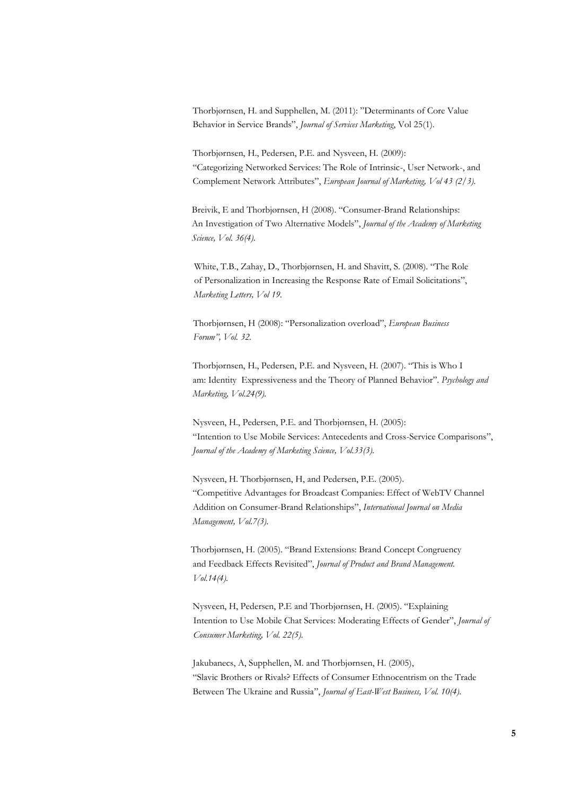Thorbjørnsen, H. and Supphellen, M. (2011): "Determinants of Core Value Behavior in Service Brands", *Journal of Services Marketing*, Vol 25(1).

Thorbjørnsen, H., Pedersen, P.E. and Nysveen, H. (2009): "Categorizing Networked Services: The Role of Intrinsic-, User Network-, and Complement Network Attributes", *European Journal of Marketing, Vol 43 (2/3).* 

 Breivik, E and Thorbjørnsen, H (2008). "Consumer-Brand Relationships: An Investigation of Two Alternative Models", *Journal of the Academy of Marketing Science, Vol. 36(4).*

 White, T.B., Zahay, D., Thorbjørnsen, H. and Shavitt, S. (2008). "The Role of Personalization in Increasing the Response Rate of Email Solicitations",  *Marketing Letters, Vol 19.*

 Thorbjørnsen, H (2008): "Personalization overload", *European Business Forum", Vol. 32.* 

Thorbjørnsen, H., Pedersen, P.E. and Nysveen, H. (2007). "This is Who I am: Identity Expressiveness and the Theory of Planned Behavior". *Psychology and Marketing, Vol.24(9).*

Nysveen, H., Pedersen, P.E. and Thorbjørnsen, H. (2005): "Intention to Use Mobile Services: Antecedents and Cross-Service Comparisons", *Journal of the Academy of Marketing Science, Vol.33(3).*

Nysveen, H. Thorbjørnsen, H, and Pedersen, P.E. (2005). "Competitive Advantages for Broadcast Companies: Effect of WebTV Channel Addition on Consumer-Brand Relationships", *International Journal on Media Management, Vol.7(3).*

 Thorbjørnsen, H. (2005). "Brand Extensions: Brand Concept Congruency and Feedback Effects Revisited", *Journal of Product and Brand Management. Vol.14(4).*

Nysveen, H, Pedersen, P.E and Thorbjørnsen, H. (2005). "Explaining Intention to Use Mobile Chat Services: Moderating Effects of Gender", *Journal of Consumer Marketing, Vol. 22(5).*

Jakubanecs, A, Supphellen, M. and Thorbjørnsen, H. (2005), "Slavic Brothers or Rivals? Effects of Consumer Ethnocentrism on the Trade Between The Ukraine and Russia", *Journal of East-West Business, Vol. 10(4).*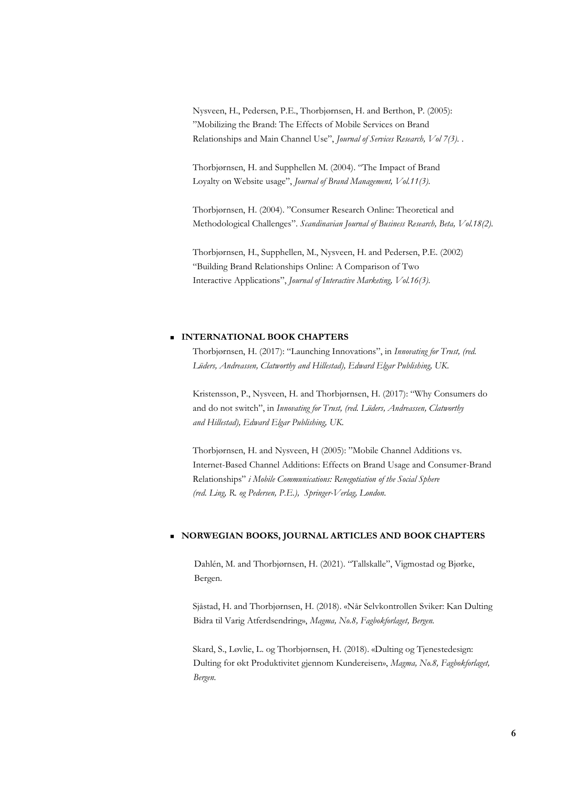Nysveen, H., Pedersen, P.E., Thorbjørnsen, H. and Berthon, P. (2005): "Mobilizing the Brand: The Effects of Mobile Services on Brand Relationships and Main Channel Use", *Journal of Services Research, Vol 7(3). .*

Thorbjørnsen, H. and Supphellen M. (2004). "The Impact of Brand Loyalty on Website usage", *Journal of Brand Management, Vol.11(3).* 

Thorbjørnsen, H. (2004). "Consumer Research Online: Theoretical and Methodological Challenges". *Scandinavian Journal of Business Research, Beta, Vol.18(2).*

Thorbjørnsen, H., Supphellen, M., Nysveen, H. and Pedersen, P.E. (2002) "Building Brand Relationships Online: A Comparison of Two Interactive Applications", *Journal of Interactive Marketing, Vol.16(3).*

## <sup>◼</sup> **INTERNATIONAL BOOK CHAPTERS**

Thorbjørnsen, H. (2017): "Launching Innovations", in *Innovating for Trust, (red. Lüders, Andreassen, Clatworthy and Hillestad), Edward Elgar Publishing, UK*.

Kristensson, P., Nysveen, H. and Thorbjørnsen, H. (2017): "Why Consumers do and do not switch", in *Innovating for Trust, (red. Lüders, Andreassen, Clatworthy and Hillestad), Edward Elgar Publishing, UK*.

Thorbjørnsen, H. and Nysveen, H (2005): "Mobile Channel Additions vs. Internet-Based Channel Additions: Effects on Brand Usage and Consumer-Brand Relationships" *i Mobile Communications: Renegotiation of the Social Sphere (red. Ling, R. og Pedersen, P.E.), Springer-Verlag, London.*

## <sup>◼</sup> **NORWEGIAN BOOKS, JOURNAL ARTICLES AND BOOK CHAPTERS**

 Dahlén, M. and Thorbjørnsen, H. (2021). "Tallskalle", Vigmostad og Bjørke, Bergen.

Sjåstad, H. and Thorbjørnsen, H. (2018). «Når Selvkontrollen Sviker: Kan Dulting Bidra til Varig Atferdsendring», *Magma, No.8, Fagbokforlaget, Bergen.*

Skard, S., Løvlie, L. og Thorbjørnsen, H. (2018). «Dulting og Tjenestedesign: Dulting for økt Produktivitet gjennom Kundereisen», *Magma, No.8, Fagbokforlaget, Bergen.*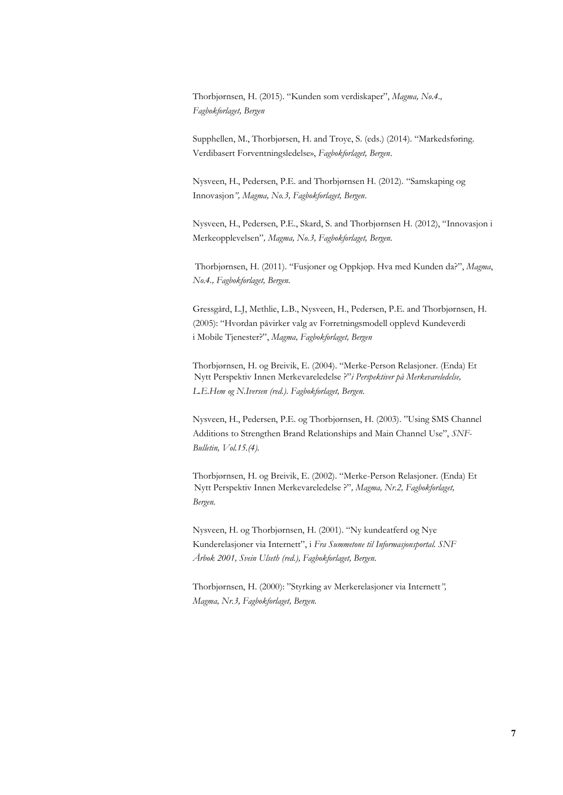Thorbjørnsen, H. (2015). "Kunden som verdiskaper", *Magma, No.4., Fagbokforlaget, Bergen*

Supphellen, M., Thorbjørsen, H. and Troye, S. (eds.) (2014). "Markedsføring. Verdibasert Forventningsledelse», *Fagbokforlaget, Bergen*.

Nysveen, H., Pedersen, P.E. and Thorbjørnsen H. (2012). "Samskaping og Innovasjon*", Magma, No.3, Fagbokforlaget, Bergen*.

Nysveen, H., Pedersen, P.E., Skard, S. and Thorbjørnsen H. (2012), "Innovasjon i Merkeopplevelsen"*, Magma, No.3, Fagbokforlaget, Bergen.* 

Thorbjørnsen, H. (2011). "Fusjoner og Oppkjøp. Hva med Kunden da?", *Magma*, *No.4., Fagbokforlaget, Bergen.* 

Gressgård, L.J, Methlie, L.B., Nysveen, H., Pedersen, P.E. and Thorbjørnsen, H. (2005): "Hvordan påvirker valg av Forretningsmodell opplevd Kundeverdi i Mobile Tjenester?", *Magma, Fagbokforlaget, Bergen*

Thorbjørnsen, H. og Breivik, E. (2004). "Merke-Person Relasjoner. (Enda) Et Nytt Perspektiv Innen Merkevareledelse ?"*i Perspektiver på Merkevareledelse, L.E.Hem og N.Iversen (red.). Fagbokforlaget, Bergen.* 

Nysveen, H., Pedersen, P.E. og Thorbjørnsen, H. (2003). "Using SMS Channel Additions to Strengthen Brand Relationships and Main Channel Use", *SNF-Bulletin, Vol.15.(4).* 

Thorbjørnsen, H. og Breivik, E. (2002). "Merke-Person Relasjoner. (Enda) Et Nytt Perspektiv Innen Merkevareledelse ?"*, Magma, Nr.2, Fagbokforlaget, Bergen.*

Nysveen, H. og Thorbjørnsen, H. (2001). "Ny kundeatferd og Nye Kunderelasjoner via Internett", i *Fra Summetone til Informasjonsportal. SNF Årbok 2001, Svein Ulseth (red.), Fagbokforlaget, Bergen.*

Thorbjørnsen, H. (2000): "Styrking av Merkerelasjoner via Internett*", Magma, Nr.3, Fagbokforlaget, Bergen.*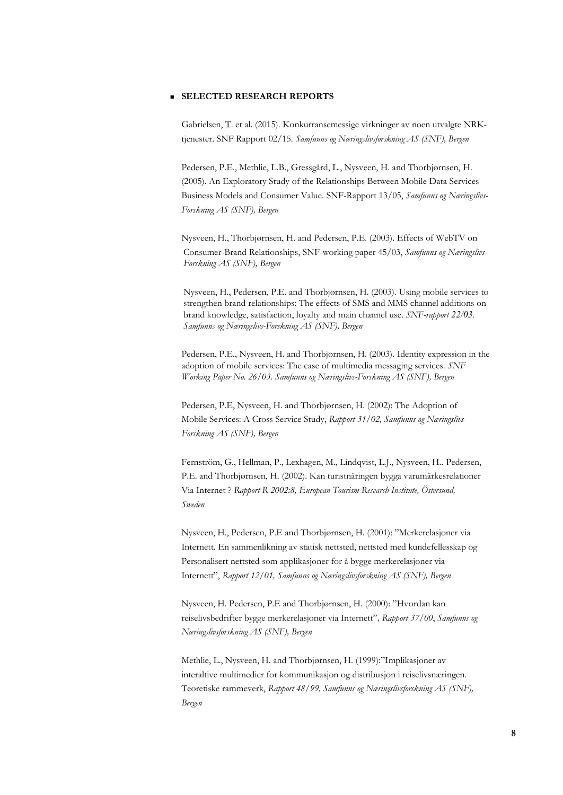#### **SELECTED RESEARCH REPORTS**

Gabrielsen, T. et al. (2015). Konkurransemessige virkninger av noen utvalgte NRKtjenester. SNF Rapport 02/15. *Samfunns og Næringslivsforskning AS (SNF), Bergen*

Pedersen, P.E., Methlie, L.B., Gressgård, L., Nysveen, H. and Thorbjørnsen, H. (2005). An Exploratory Study of the Relationships Between Mobile Data Services Business Models and Consumer Value. SNF-Rapport 13/05, *Samfunns og Næringslivs-Forskning AS (SNF), Bergen*

Nysveen, H., Thorbjørnsen, H. and Pedersen, P.E. (2003). Effects of WebTV on Consumer-Brand Relationships, SNF-working paper 45/03, *Samfunns og Næringslivs-Forskning AS (SNF), Bergen*

Nysveen, H., Pedersen, P.E. and Thorbjørnsen, H. (2003). Using mobile services to strengthen brand relationships: The effects of SMS and MMS channel additions on brand knowledge, satisfaction, loyalty and main channel use. *SNF-rapport 22/03. Samfunns og Næringslivs-Forskning AS (SNF), Bergen*

Pedersen, P.E., Nysveen, H. and Thorbjørnsen, H. (2003). Identity expression in the adoption of mobile services: The case of multimedia messaging services. *SNF Working Paper No. 26/03. Samfunns og Næringslivs-Forskning AS (SNF), Bergen*

Pedersen, P.E, Nysveen, H. and Thorbjørnsen, H. (2002): The Adoption of Mobile Services: A Cross Service Study, *Rapport 31/02, Samfunns og Næringslivs-Forskning AS (SNF), Bergen*

Fernström, G., Hellman, P., Lexhagen, M., Lindqvist, L.J., Nysveen, H.. Pedersen, P.E. and Thorbjørnsen, H. (2002). Kan turistnäringen bygga varumärkesrelationer Via Internet ? *Rapport R 2002:8, European Tourism Research Institute, Östersund, Sweden*

Nysveen, H., Pedersen, P.E and Thorbjørnsen, H. (2001): "Merkerelasjoner via Internett. En sammenlikning av statisk nettsted, nettsted med kundefellesskap og Personalisert nettsted som applikasjoner for å bygge merkerelasjoner via Internett", *Rapport 12/01, Samfunns og Næringslivsforskning AS (SNF), Bergen*

Nysveen, H. Pedersen, P.E and Thorbjørnsen, H. (2000): "Hvordan kan reiselivsbedrifter bygge merkerelasjoner via Internett"*, Rapport 37/00*, *Samfunns og Næringslivsforskning AS (SNF), Bergen*

Methlie, L., Nysveen, H. and Thorbjørnsen, H. (1999):"Implikasjoner av interaltive multimedier for kommunikasjon og distribusjon i reiselivsnæringen. Teoretiske rammeverk, *Rapport 48/99, Samfunns og Næringslivsforskning AS (SNF), Bergen*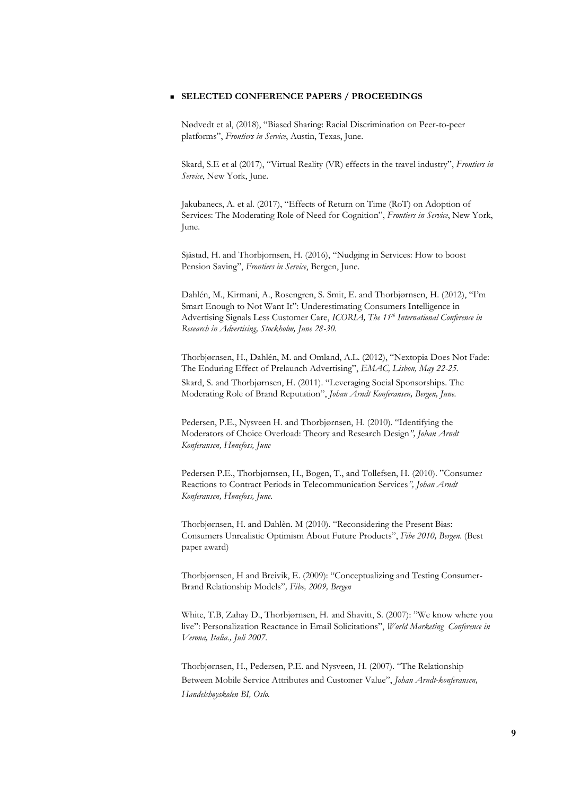#### $\blacksquare$  **SELECTED CONFERENCE PAPERS / PROCEEDINGS**

Nødvedt et al, (2018), "Biased Sharing: Racial Discrimination on Peer-to-peer platforms", *Frontiers in Service*, Austin, Texas, June.

Skard, S.E et al (2017), "Virtual Reality (VR) effects in the travel industry", *Frontiers in Service*, New York, June.

Jakubanecs, A. et al. (2017), "Effects of Return on Time (RoT) on Adoption of Services: The Moderating Role of Need for Cognition", *Frontiers in Service*, New York, June.

Sjåstad, H. and Thorbjornsen, H. (2016), "Nudging in Services: How to boost Pension Saving", *Frontiers in Service*, Bergen, June.

Dahlén, M., Kirmani, A., Rosengren, S. Smit, E. and Thorbjørnsen, H. (2012), "I'm Smart Enough to Not Want It": Underestimating Consumers Intelligence in Advertising Signals Less Customer Care, *ICORIA, The 11th International Conference in Research in Advertising, Stockholm, June 28-30.* 

Thorbjørnsen, H., Dahlén, M. and Omland, A.L. (2012), "Nextopia Does Not Fade: The Enduring Effect of Prelaunch Advertising", *EMAC, Lisbon, May 22-25.* Skard, S. and Thorbjørnsen, H. (2011). "Leveraging Social Sponsorships. The Moderating Role of Brand Reputation", *Johan Arndt Konferansen, Bergen, June.*

Pedersen, P.E., Nysveen H. and Thorbjørnsen, H. (2010). "Identifying the Moderators of Choice Overload: Theory and Research Design*", Johan Arndt Konferansen, Hønefoss, June*

Pedersen P.E., Thorbjørnsen, H., Bogen, T., and Tollefsen, H. (2010). "Consumer Reactions to Contract Periods in Telecommunication Services*", Johan Arndt Konferansen, Hønefoss, June.*

Thorbjørnsen, H. and Dahlèn. M (2010). "Reconsidering the Present Bias: Consumers Unrealistic Optimism About Future Products", *Fibe 2010, Bergen*. (Best paper award)

Thorbjørnsen, H and Breivik, E. (2009): "Conceptualizing and Testing Consumer-Brand Relationship Models"*, Fibe, 2009, Bergen*

White, T.B, Zahay D., Thorbjørnsen, H. and Shavitt, S. (2007): "We know where you live": Personalization Reactance in Email Solicitations", *World Marketing Conference in Verona, Italia., Juli 2007.* 

Thorbjørnsen, H., Pedersen, P.E. and Nysveen, H. (2007). "The Relationship Between Mobile Service Attributes and Customer Value", *Johan Arndt-konferansen, Handelshøyskolen BI, Oslo.*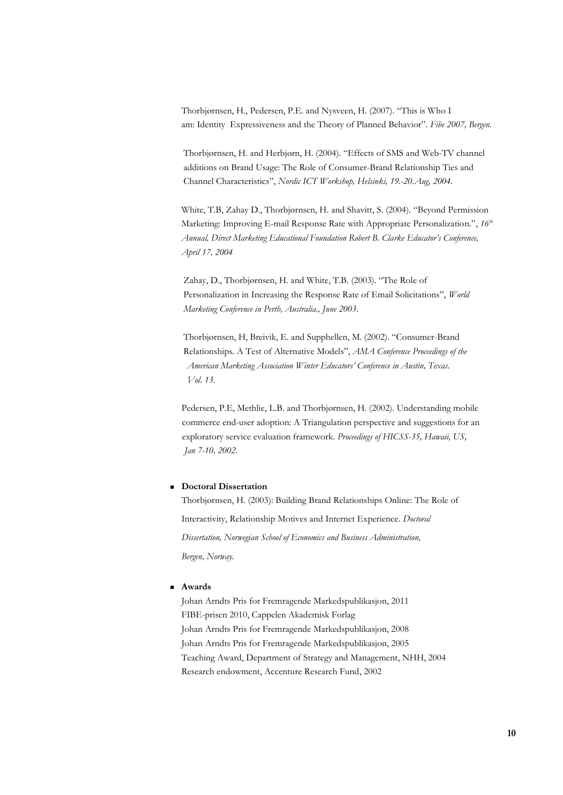Thorbjørnsen, H., Pedersen, P.E. and Nysveen, H. (2007). "This is Who I am: Identity Expressiveness and the Theory of Planned Behavior". *Fibe 2007, Bergen.*

Thorbjørnsen, H. and Herbjørn, H. (2004). "Effects of SMS and Web-TV channel additions on Brand Usage: The Role of Consumer-Brand Relationship Ties and Channel Characteristics", *Nordic ICT Workshop, Helsinki, 19.-20.Aug, 2004.*

White, T.B, Zahay D., Thorbjørnsen, H. and Shavitt, S. (2004). "Beyond Permission Marketing: Improving E-mail Response Rate with Appropriate Personalization.", *16th Annual, Direct Marketing Educational Foundation Robert B. Clarke Educator's Conference, April 17, 2004*

Zahay, D., Thorbjørnsen, H. and White, T.B. (2003). "The Role of Personalization in Increasing the Response Rate of Email Solicitations", *World Marketing Conference in Perth, Australia., June 2003.* 

Thorbjørnsen, H, Breivik, E. and Supphellen, M. (2002). "Consumer-Brand Relationships. A Test of Alternative Models", *AMA Conference Proceedings of the American Marketing Association Winter Educators' Conference in Austin, Texas*. *Vol. 13.*

Pedersen, P.E, Methlie, L.B. and Thorbjørnsen, H. (2002). Understanding mobile commerce end-user adoption: A Triangulation perspective and suggestions for an exploratory service evaluation framework. *Proceedings of HICSS-35, Hawaii, US, Jan 7-10, 2002.* 

#### ■ **Doctoral Dissertation**

Thorbjørnsen, H. (2003): Building Brand Relationships Online: The Role of Interactivity, Relationship Motives and Internet Experience. *Doctoral Dissertation, Norwegian School of Economics and Business Administration, Bergen, Norway.* 

## ■ **Awards**

Johan Arndts Pris for Fremragende Markedspublikasjon, 2011 FIBE-prisen 2010, Cappelen Akademisk Forlag Johan Arndts Pris for Fremragende Markedspublikasjon, 2008 Johan Arndts Pris for Fremragende Markedspublikasjon, 2005 Teaching Award, Department of Strategy and Management, NHH, 2004 Research endowment, Accenture Research Fund, 2002